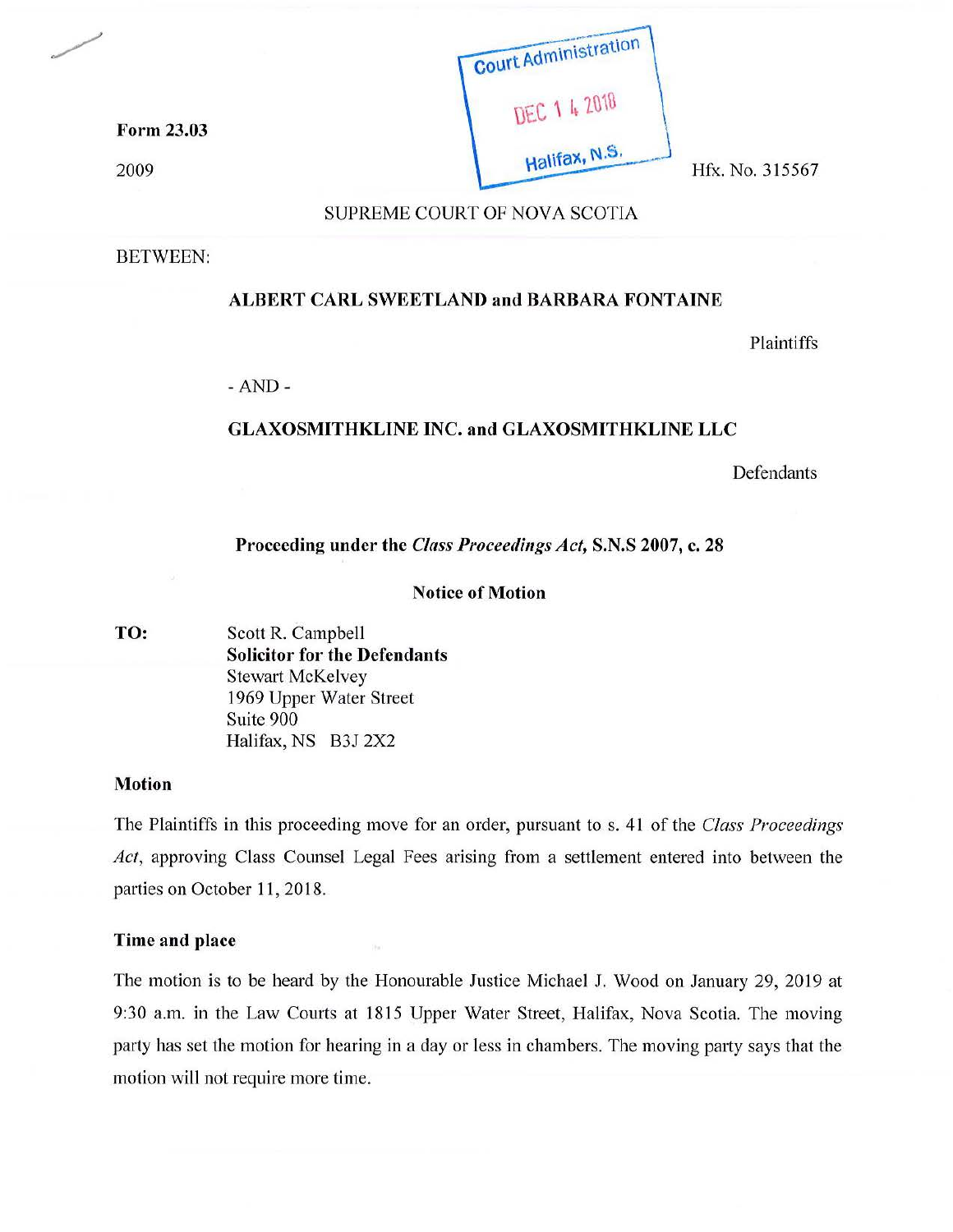

## SUPREME COURT OF NOVA SCOTIA

BETWEEN:

### **ALBERT CARL SWEETLAND and BARBARA FONTAINE**

Plaintiffs

-AND-

# **GLAXOSMITHKLINE INC. and GLAXOSMITHKLINE LLC**

Defendants

## **Proceeding under the** *Class Proceedings Act,* **S.N.S 2007, c. 28**

#### **Notice of Motion**

**TO:** Scott **R.** Campbell **Solicitor for the Defendants**  Stewart McKelvey 1969 Upper Water Street Suite 900 Halifax, NS B3J 2X2

#### **Motion**

The Plaintiffs in this proceeding move for an order, pursuant to s. 41 of the *Class Proceedings*  Act, approving Class Counsel Legal Fees arising from a settlement entered into between the parties on October 11, 2018.

#### **Time and place**

The motion is to be heard by the Honourable Justice Michael J. Wood on January 29, 2019 at 9:30 a.m. in the Law Courts at 1815 Upper Water Street, Halifax, Nova Scotia. The moving party has set the motion for hearing in a day or less in chambers. The moving party says that the motion will not require more time.